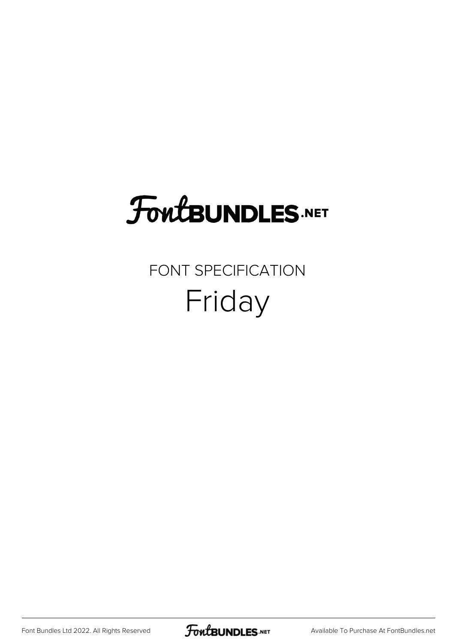## FoutBUNDLES.NET

#### FONT SPECIFICATION Friday

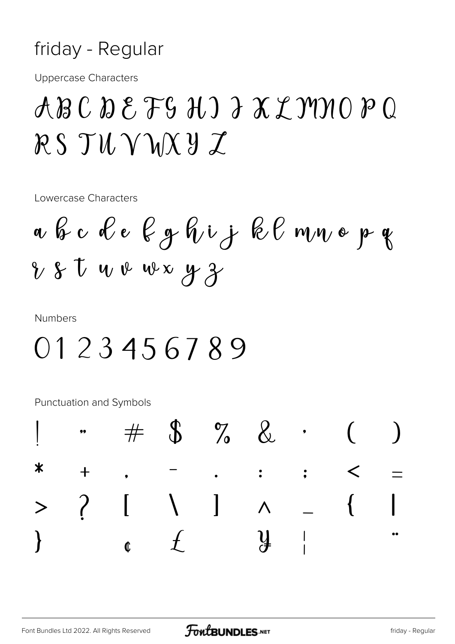#### friday - Regular

**Uppercase Characters** 

### $ABC$   $D$   $E$   $FG$   $H$   $D$   $A$   $X$   $Y$   $Y$  $Y$  $O$   $P$   $Q$  $RS$   $T$ U  $V$  $M X$  $Y$  $Z$

Lowercase Characters

**Numbers** 

#### 0123456789

Punctuation and Symbols

|  | $1 + $$ $1 + $$ $2 + $$                                                                                                                                                                                                                                                                                                                                    |  |  |  |
|--|------------------------------------------------------------------------------------------------------------------------------------------------------------------------------------------------------------------------------------------------------------------------------------------------------------------------------------------------------------|--|--|--|
|  | * + , - , : ; < =                                                                                                                                                                                                                                                                                                                                          |  |  |  |
|  | $> ? I \cup I \cup A = \{  $                                                                                                                                                                                                                                                                                                                               |  |  |  |
|  | $\}$ j $\int f(x,y) dx$ j $\int f(x,y) dx$ j $\int f(x,y) dx$ j $\int f(x,y) dx$ j $\int f(x,y) dx$ j $\int f(x,y) dx$ j $\int f(x,y) dx$ j $\int f(x,y) dx$ j $\int f(x,y) dx$ j $\int f(x,y) dx$ j $\int f(x,y) dx$ j $\int f(x,y) dx$ j $\int f(x,y) dx$ j $\int f(x,y) dx$ j $\int f(x,y) dx$ j $\int f(x,y) dx$ j $\int f(x,y) dx$ j $\int f(x,y) dx$ |  |  |  |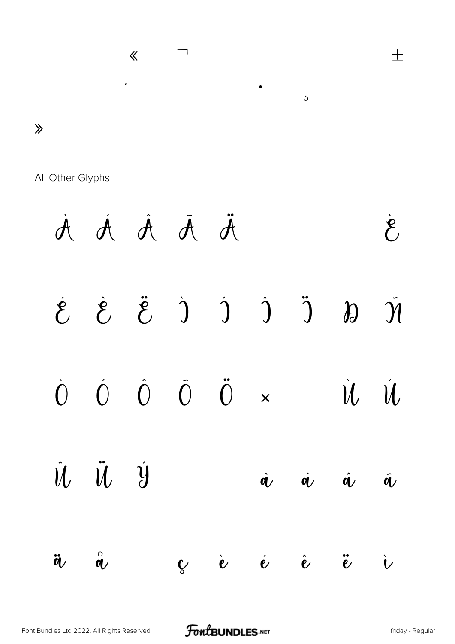

All Other Glyphs

À Á Á Ā Ä Å Æ Ç È  $\ddot{\mathcal{E}}$  $\hat{\mathcal{E}}$  $\dot{J}$   $\dot{J}$   $\dot{J}$  $\ddot{)}$  $\left(\begin{matrix} 2 & 1 \\ 1 & 1 \end{matrix}\right)$  $\partial$  $\overline{\mathcal{Y}}$  $\tilde{0}$  $\ddot{0}$  $\dot{O}$  $\hat{O}$  $\dot{O}$  $\emptyset$  il  $\mathcal{U}$  $\overline{\mathsf{x}}$  $\hat{\mathcal{U}}$  $\ddot{u}$   $\dot{y}$  $P \cap S$  $\dot{q}$  $\boldsymbol{\dot{q}}$  $\hat{\mathbf{q}}$  $\tilde{\mathbf{q}}$  $\overset{\circ}{\alpha}$  $\partial \mathbf{e}$   $\infty$   $\infty$   $\infty$  $\hat{\mathbf{e}}$  $\ddot{\tilde{e}}$  $\ddot{\boldsymbol{a}}$  $\mathbf{\dot{v}}$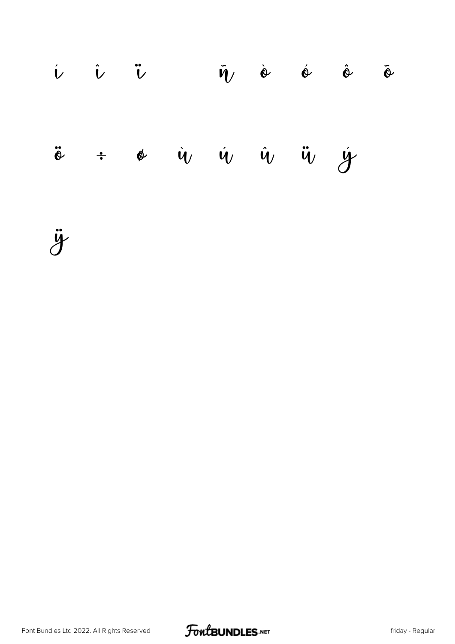|  |  |  | $\dot{v}$ $\ddot{v}$ $\ddot{\theta}$ $\ddot{\eta}$ $\dot{\theta}$ $\dot{\theta}$ $\ddot{\theta}$ |  |
|--|--|--|--------------------------------------------------------------------------------------------------|--|
|  |  |  | $\ddot{\circ}$ + $\phi$ $\dot{v}$ $\dot{v}$ $\ddot{v}$ $\ddot{v}$ $\dot{y}$ $\phi$               |  |

ÿ

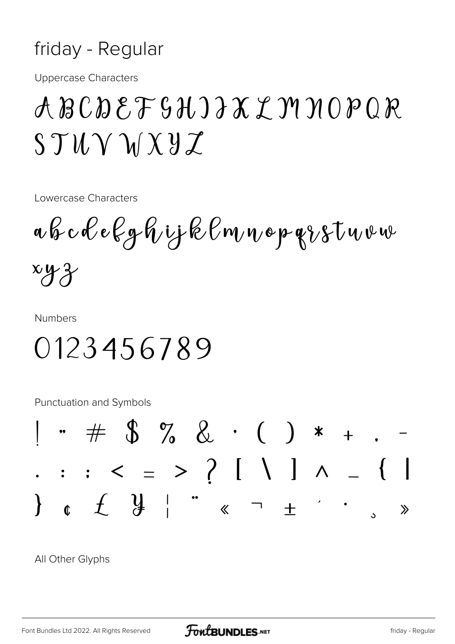#### friday - Regular

**Uppercase Characters** 

### ABCDEFSHIJXYMNOPQR  $STU\vee VXYZ$

Lowercase Characters

a b c d e k g h i j k l m n o p g i s t u v w  $xyz$ 

**Numbers** 

0123456789

Punctuation and Symbols



All Other Glyphs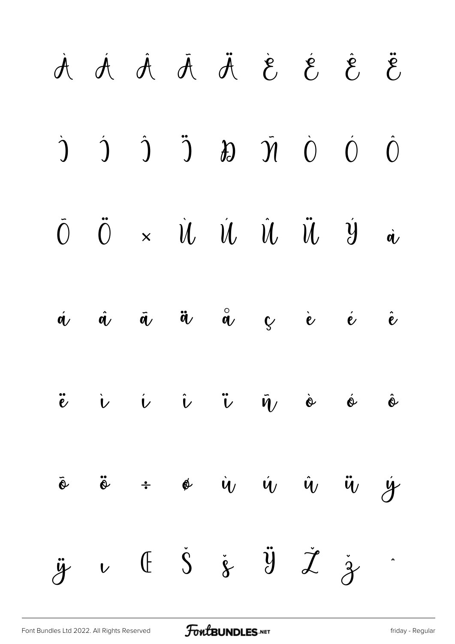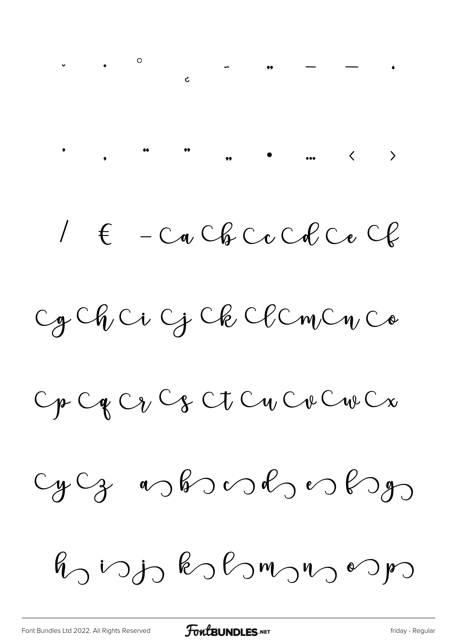$1 \in -C_0$  Cb  $C_0$  Cb  $C_1$ 

Cg Ch Ci G Ck Cl Cm Cn Co

Op Og Og Og Ot Og Og Og Og Og

 $cyCg$  as bond es bon

 $R_0$  vojo kohomono vojo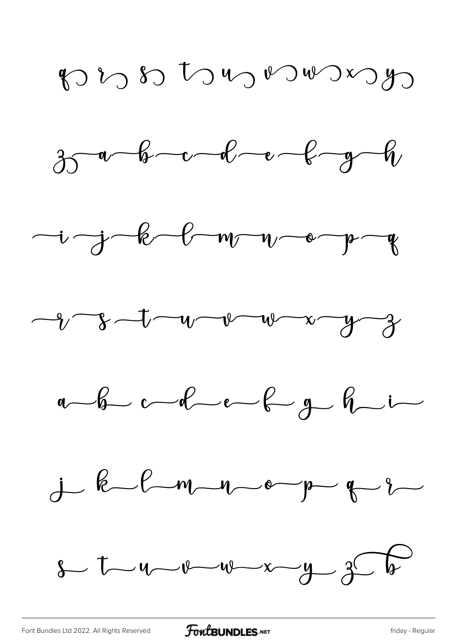